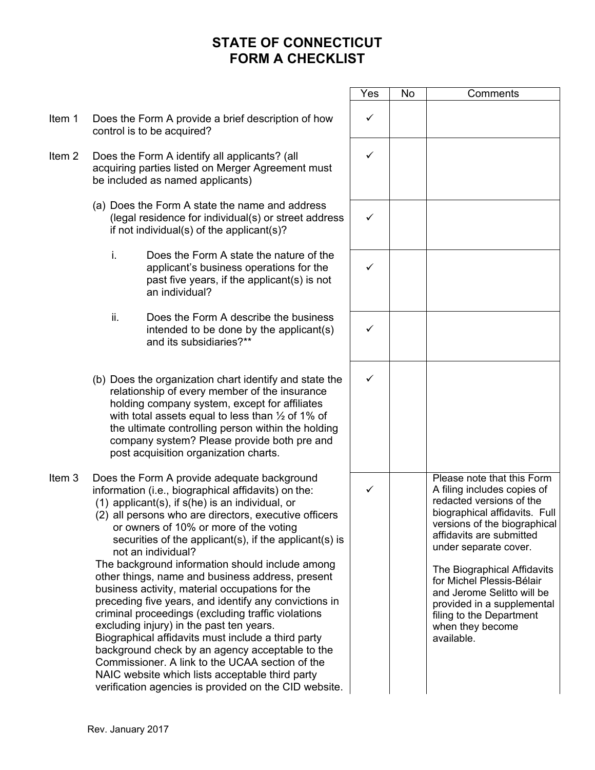|                   |                                                                                                                                                                                                                                                                                                                                                                                                                                                                                                                                                                                                                                                                                                                                                                                                                                                                                                                                               | Yes          | No | Comments                                                                                                                                                                                                                                                                                                                                                                                          |
|-------------------|-----------------------------------------------------------------------------------------------------------------------------------------------------------------------------------------------------------------------------------------------------------------------------------------------------------------------------------------------------------------------------------------------------------------------------------------------------------------------------------------------------------------------------------------------------------------------------------------------------------------------------------------------------------------------------------------------------------------------------------------------------------------------------------------------------------------------------------------------------------------------------------------------------------------------------------------------|--------------|----|---------------------------------------------------------------------------------------------------------------------------------------------------------------------------------------------------------------------------------------------------------------------------------------------------------------------------------------------------------------------------------------------------|
| Item 1            | Does the Form A provide a brief description of how<br>control is to be acquired?                                                                                                                                                                                                                                                                                                                                                                                                                                                                                                                                                                                                                                                                                                                                                                                                                                                              | $\checkmark$ |    |                                                                                                                                                                                                                                                                                                                                                                                                   |
| Item <sub>2</sub> | Does the Form A identify all applicants? (all<br>acquiring parties listed on Merger Agreement must<br>be included as named applicants)                                                                                                                                                                                                                                                                                                                                                                                                                                                                                                                                                                                                                                                                                                                                                                                                        | ✓            |    |                                                                                                                                                                                                                                                                                                                                                                                                   |
|                   | (a) Does the Form A state the name and address<br>(legal residence for individual(s) or street address<br>if not individual(s) of the applicant(s)?                                                                                                                                                                                                                                                                                                                                                                                                                                                                                                                                                                                                                                                                                                                                                                                           | ✓            |    |                                                                                                                                                                                                                                                                                                                                                                                                   |
|                   | i.<br>Does the Form A state the nature of the<br>applicant's business operations for the<br>past five years, if the applicant(s) is not<br>an individual?                                                                                                                                                                                                                                                                                                                                                                                                                                                                                                                                                                                                                                                                                                                                                                                     | $\checkmark$ |    |                                                                                                                                                                                                                                                                                                                                                                                                   |
|                   | ii.<br>Does the Form A describe the business<br>intended to be done by the applicant(s)<br>and its subsidiaries?**                                                                                                                                                                                                                                                                                                                                                                                                                                                                                                                                                                                                                                                                                                                                                                                                                            | ✓            |    |                                                                                                                                                                                                                                                                                                                                                                                                   |
|                   | (b) Does the organization chart identify and state the<br>relationship of every member of the insurance<br>holding company system, except for affiliates<br>with total assets equal to less than $\frac{1}{2}$ of 1% of<br>the ultimate controlling person within the holding<br>company system? Please provide both pre and<br>post acquisition organization charts.                                                                                                                                                                                                                                                                                                                                                                                                                                                                                                                                                                         | ✓            |    |                                                                                                                                                                                                                                                                                                                                                                                                   |
| Item <sub>3</sub> | Does the Form A provide adequate background<br>information (i.e., biographical affidavits) on the:<br>$(1)$ applicant $(s)$ , if $s(he)$ is an individual, or<br>(2) all persons who are directors, executive officers<br>or owners of 10% or more of the voting<br>securities of the applicant(s), if the applicant(s) is<br>not an individual?<br>The background information should include among<br>other things, name and business address, present<br>business activity, material occupations for the<br>preceding five years, and identify any convictions in<br>criminal proceedings (excluding traffic violations<br>excluding injury) in the past ten years.<br>Biographical affidavits must include a third party<br>background check by an agency acceptable to the<br>Commissioner. A link to the UCAA section of the<br>NAIC website which lists acceptable third party<br>verification agencies is provided on the CID website. |              |    | Please note that this Form<br>A filing includes copies of<br>redacted versions of the<br>biographical affidavits. Full<br>versions of the biographical<br>affidavits are submitted<br>under separate cover.<br>The Biographical Affidavits<br>for Michel Plessis-Bélair<br>and Jerome Selitto will be<br>provided in a supplemental<br>filing to the Department<br>when they become<br>available. |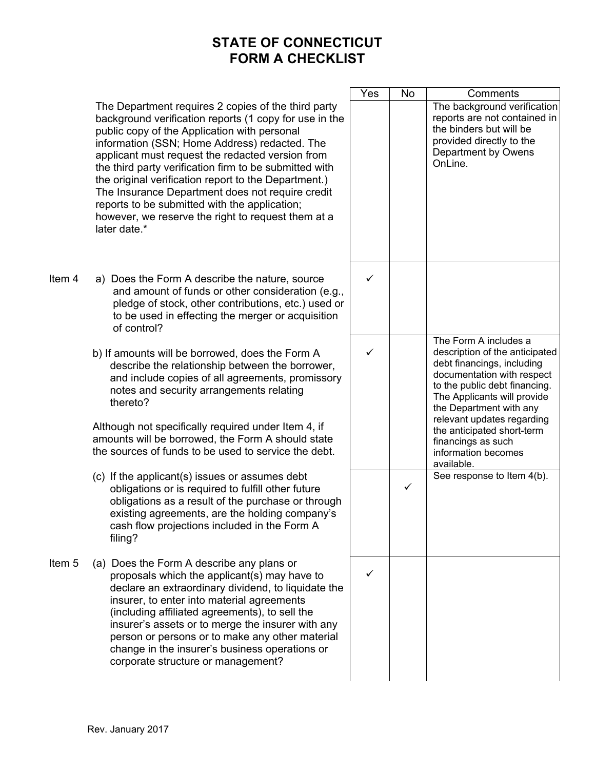The Department requires 2 copies of the third party background verification reports (1 copy for use in the public copy of the Application with personal information (SSN; Home Address) redacted. The applicant must request the redacted version from the third party verification firm to be submitted with the original verification report to the Department.) The Insurance Department does not require credit reports to be submitted with the application; however, we reserve the right to request them at a later date \*

- Item 4 a) Does the Form A describe the nature, source and amount of funds or other consideration (e.g., pledge of stock, other contributions, etc.) used or to be used in effecting the merger or acquisition of control?
	- b) If amounts will be borrowed, does the Form A describe the relationship between the borrower, and include copies of all agreements, promissory notes and security arrangements relating thereto?

Although not specifically required under Item 4, if amounts will be borrowed, the Form A should state the sources of funds to be used to service the debt.

- (c) If the applicant(s) issues or assumes debt obligations or is required to fulfill other future obligations as a result of the purchase or through existing agreements, are the holding company's cash flow projections included in the Form A filing?
- Item 5 (a) Does the Form A describe any plans or proposals which the applicant(s) may have to declare an extraordinary dividend, to liquidate the insurer, to enter into material agreements (including affiliated agreements), to sell the insurer's assets or to merge the insurer with any person or persons or to make any other material change in the insurer's business operations or corporate structure or management?

| $\overline{\mathsf{Yes}}$ | No | Comments                                                                                                                                                                                                                                                                                                                              |
|---------------------------|----|---------------------------------------------------------------------------------------------------------------------------------------------------------------------------------------------------------------------------------------------------------------------------------------------------------------------------------------|
|                           |    | The background verification<br>reports are not contained in<br>the binders but will be<br>provided directly to the<br>Department by Owens<br>OnLine.                                                                                                                                                                                  |
|                           |    |                                                                                                                                                                                                                                                                                                                                       |
|                           |    | The Form A includes a<br>description of the anticipated<br>debt financings, including<br>documentation with respect<br>to the public debt financing.<br>The Applicants will provide<br>the Department with any<br>relevant updates regarding<br>the anticipated short-term<br>financings as such<br>information becomes<br>available. |
|                           |    | See response to Item 4(b).                                                                                                                                                                                                                                                                                                            |
|                           |    |                                                                                                                                                                                                                                                                                                                                       |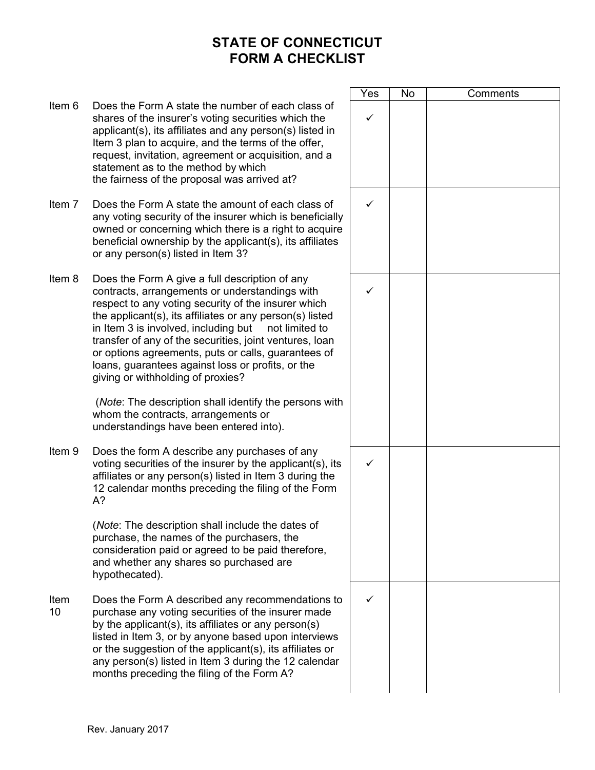|            |                                                                                                                                                                                                                                                                                                                                                                                                                                                                                           | Yes          | No | Comments |
|------------|-------------------------------------------------------------------------------------------------------------------------------------------------------------------------------------------------------------------------------------------------------------------------------------------------------------------------------------------------------------------------------------------------------------------------------------------------------------------------------------------|--------------|----|----------|
| Item 6     | Does the Form A state the number of each class of<br>shares of the insurer's voting securities which the<br>applicant(s), its affiliates and any person(s) listed in<br>Item 3 plan to acquire, and the terms of the offer,<br>request, invitation, agreement or acquisition, and a<br>statement as to the method by which<br>the fairness of the proposal was arrived at?                                                                                                                | $\checkmark$ |    |          |
| Item 7     | Does the Form A state the amount of each class of<br>any voting security of the insurer which is beneficially<br>owned or concerning which there is a right to acquire<br>beneficial ownership by the applicant(s), its affiliates<br>or any person(s) listed in Item 3?                                                                                                                                                                                                                  | $\checkmark$ |    |          |
| Item 8     | Does the Form A give a full description of any<br>contracts, arrangements or understandings with<br>respect to any voting security of the insurer which<br>the applicant(s), its affiliates or any person(s) listed<br>in Item 3 is involved, including but<br>not limited to<br>transfer of any of the securities, joint ventures, loan<br>or options agreements, puts or calls, guarantees of<br>loans, guarantees against loss or profits, or the<br>giving or withholding of proxies? | ✓            |    |          |
|            | (Note: The description shall identify the persons with<br>whom the contracts, arrangements or<br>understandings have been entered into).                                                                                                                                                                                                                                                                                                                                                  |              |    |          |
| Item 9     | Does the form A describe any purchases of any<br>voting securities of the insurer by the applicant(s), its<br>affiliates or any person(s) listed in Item 3 during the<br>12 calendar months preceding the filing of the Form<br>$A$ ?                                                                                                                                                                                                                                                     | ✓            |    |          |
|            | (Note: The description shall include the dates of<br>purchase, the names of the purchasers, the<br>consideration paid or agreed to be paid therefore,<br>and whether any shares so purchased are<br>hypothecated).                                                                                                                                                                                                                                                                        |              |    |          |
| Item<br>10 | Does the Form A described any recommendations to<br>purchase any voting securities of the insurer made<br>by the applicant(s), its affiliates or any person(s)<br>listed in Item 3, or by anyone based upon interviews<br>or the suggestion of the applicant(s), its affiliates or<br>any person(s) listed in Item 3 during the 12 calendar<br>months preceding the filing of the Form A?                                                                                                 | ✓            |    |          |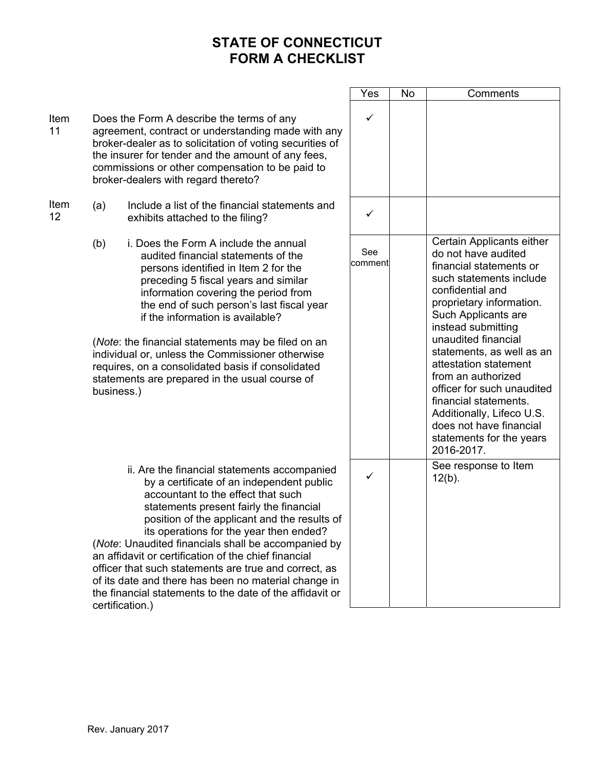|            |                                                                                                                                                                                                                                                                                                             |                                                                                                                                                                                                                                                                                                                                                                                                                                                                                                                                                                                      | Yes            | No | Comments                                                                                                                                                                                                                                                                                                                                                                                                                                                        |
|------------|-------------------------------------------------------------------------------------------------------------------------------------------------------------------------------------------------------------------------------------------------------------------------------------------------------------|--------------------------------------------------------------------------------------------------------------------------------------------------------------------------------------------------------------------------------------------------------------------------------------------------------------------------------------------------------------------------------------------------------------------------------------------------------------------------------------------------------------------------------------------------------------------------------------|----------------|----|-----------------------------------------------------------------------------------------------------------------------------------------------------------------------------------------------------------------------------------------------------------------------------------------------------------------------------------------------------------------------------------------------------------------------------------------------------------------|
| Item<br>11 | Does the Form A describe the terms of any<br>agreement, contract or understanding made with any<br>broker-dealer as to solicitation of voting securities of<br>the insurer for tender and the amount of any fees,<br>commissions or other compensation to be paid to<br>broker-dealers with regard thereto? |                                                                                                                                                                                                                                                                                                                                                                                                                                                                                                                                                                                      | ✓              |    |                                                                                                                                                                                                                                                                                                                                                                                                                                                                 |
| Item<br>12 | (a)                                                                                                                                                                                                                                                                                                         | Include a list of the financial statements and<br>exhibits attached to the filing?                                                                                                                                                                                                                                                                                                                                                                                                                                                                                                   | ✓              |    |                                                                                                                                                                                                                                                                                                                                                                                                                                                                 |
|            | (b)<br>business.)                                                                                                                                                                                                                                                                                           | i. Does the Form A include the annual<br>audited financial statements of the<br>persons identified in Item 2 for the<br>preceding 5 fiscal years and similar<br>information covering the period from<br>the end of such person's last fiscal year<br>if the information is available?<br>(Note: the financial statements may be filed on an<br>individual or, unless the Commissioner otherwise<br>requires, on a consolidated basis if consolidated<br>statements are prepared in the usual course of                                                                               | See<br>comment |    | Certain Applicants either<br>do not have audited<br>financial statements or<br>such statements include<br>confidential and<br>proprietary information.<br>Such Applicants are<br>instead submitting<br>unaudited financial<br>statements, as well as an<br>attestation statement<br>from an authorized<br>officer for such unaudited<br>financial statements.<br>Additionally, Lifeco U.S.<br>does not have financial<br>statements for the years<br>2016-2017. |
|            |                                                                                                                                                                                                                                                                                                             | ii. Are the financial statements accompanied<br>by a certificate of an independent public<br>accountant to the effect that such<br>statements present fairly the financial<br>position of the applicant and the results of<br>its operations for the year then ended?<br>(Note: Unaudited financials shall be accompanied by<br>an affidavit or certification of the chief financial<br>officer that such statements are true and correct, as<br>of its date and there has been no material change in<br>the financial statements to the date of the affidavit or<br>certification.) | $\checkmark$   |    | See response to Item<br>$12(b)$ .                                                                                                                                                                                                                                                                                                                                                                                                                               |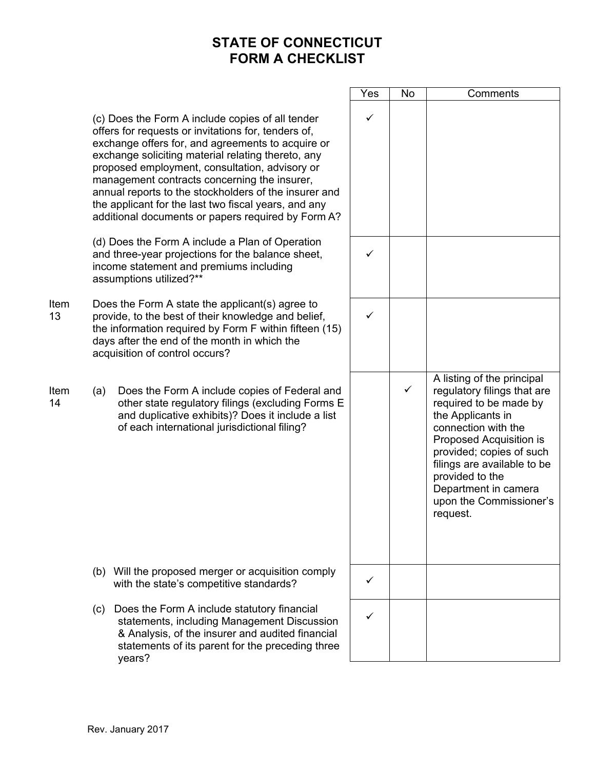$\blacksquare$ 

|            |                                                                                                                                                                                                                                                                                                                                                                                                                                                                                             |                                                                                                                                                                                                              | Yes          | No           | Comments                                                                                                                                                                                                                                                                                                |
|------------|---------------------------------------------------------------------------------------------------------------------------------------------------------------------------------------------------------------------------------------------------------------------------------------------------------------------------------------------------------------------------------------------------------------------------------------------------------------------------------------------|--------------------------------------------------------------------------------------------------------------------------------------------------------------------------------------------------------------|--------------|--------------|---------------------------------------------------------------------------------------------------------------------------------------------------------------------------------------------------------------------------------------------------------------------------------------------------------|
|            | (c) Does the Form A include copies of all tender<br>offers for requests or invitations for, tenders of,<br>exchange offers for, and agreements to acquire or<br>exchange soliciting material relating thereto, any<br>proposed employment, consultation, advisory or<br>management contracts concerning the insurer,<br>annual reports to the stockholders of the insurer and<br>the applicant for the last two fiscal years, and any<br>additional documents or papers required by Form A? |                                                                                                                                                                                                              | $\checkmark$ |              |                                                                                                                                                                                                                                                                                                         |
|            | (d) Does the Form A include a Plan of Operation<br>and three-year projections for the balance sheet,<br>income statement and premiums including<br>assumptions utilized?**                                                                                                                                                                                                                                                                                                                  |                                                                                                                                                                                                              |              |              |                                                                                                                                                                                                                                                                                                         |
| Item<br>13 | Does the Form A state the applicant(s) agree to<br>provide, to the best of their knowledge and belief,<br>the information required by Form F within fifteen (15)<br>days after the end of the month in which the<br>acquisition of control occurs?                                                                                                                                                                                                                                          |                                                                                                                                                                                                              | $\checkmark$ |              |                                                                                                                                                                                                                                                                                                         |
| Item<br>14 | (a)                                                                                                                                                                                                                                                                                                                                                                                                                                                                                         | Does the Form A include copies of Federal and<br>other state regulatory filings (excluding Forms E<br>and duplicative exhibits)? Does it include a list<br>of each international jurisdictional filing?      |              | $\checkmark$ | A listing of the principal<br>regulatory filings that are<br>required to be made by<br>the Applicants in<br>connection with the<br>Proposed Acquisition is<br>provided; copies of such<br>filings are available to be<br>provided to the<br>Department in camera<br>upon the Commissioner's<br>request. |
|            |                                                                                                                                                                                                                                                                                                                                                                                                                                                                                             | (b) Will the proposed merger or acquisition comply<br>with the state's competitive standards?                                                                                                                | ✓            |              |                                                                                                                                                                                                                                                                                                         |
|            | (c)                                                                                                                                                                                                                                                                                                                                                                                                                                                                                         | Does the Form A include statutory financial<br>statements, including Management Discussion<br>& Analysis, of the insurer and audited financial<br>statements of its parent for the preceding three<br>years? | ✓            |              |                                                                                                                                                                                                                                                                                                         |